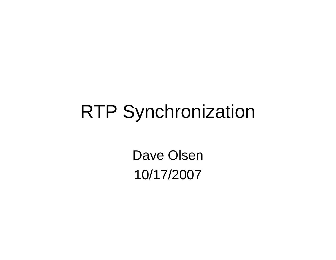## RTP Synchronization

Dave Olsen10/17/2007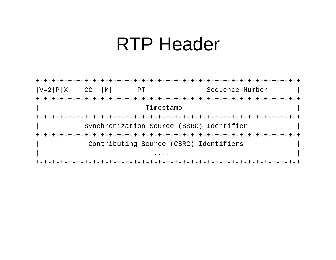#### **RTP Header**

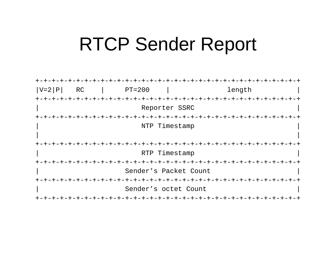#### **RTCP Sender Report**

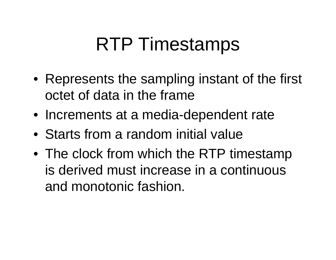## RTP Timestamps

- Represents the sampling instant of the first octet of data in the frame
- Increments at a media-dependent rate
- Starts from a random initial value
- The clock from which the RTP timestamp is derived must increase in a continuous and monotonic fashion.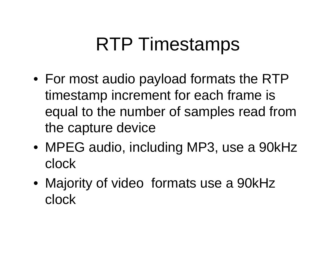# RTP Timestamps

- For most audio payload formats the RTP timestamp increment for each frame is equal to the number of samples read from the capture device
- MPEG audio, including MP3, use a 90kHz clock
- Majority of video formats use a 90kHz clock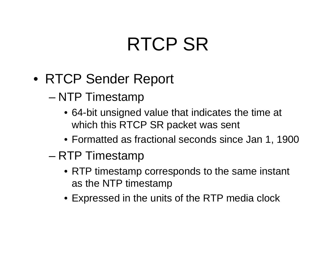# RTCP SR

- RTCP Sender Report
	- NTP Timestamp
		- 64-bit unsigned value that indicates the time at which this RTCP SR packet was sent
		- Formatted as fractional seconds since Jan 1, 1900
	- – RTP Timestamp
		- RTP timestamp corresponds to the same instant as the NTP timestamp
		- Expressed in the units of the RTP media clock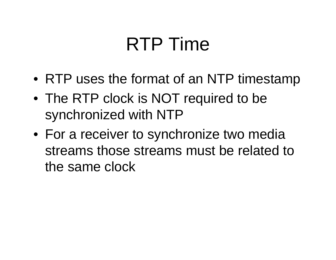# RTP Time

- RTP uses the format of an NTP timestamp
- The RTP clock is NOT required to be synchronized with NTP
- For a receiver to synchronize two media streams those streams must be related to the same clock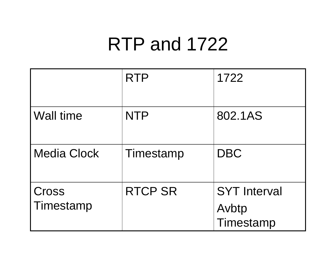## RTP and 1722

|                    | <b>RTP</b>     | 1722                                      |
|--------------------|----------------|-------------------------------------------|
| <b>Wall time</b>   | <b>NTP</b>     | 802.1AS                                   |
| <b>Media Clock</b> | Timestamp      | <b>DBC</b>                                |
| Cross<br>Timestamp | <b>RTCP SR</b> | <b>SYT Interval</b><br>Avbtp<br>Timestamp |